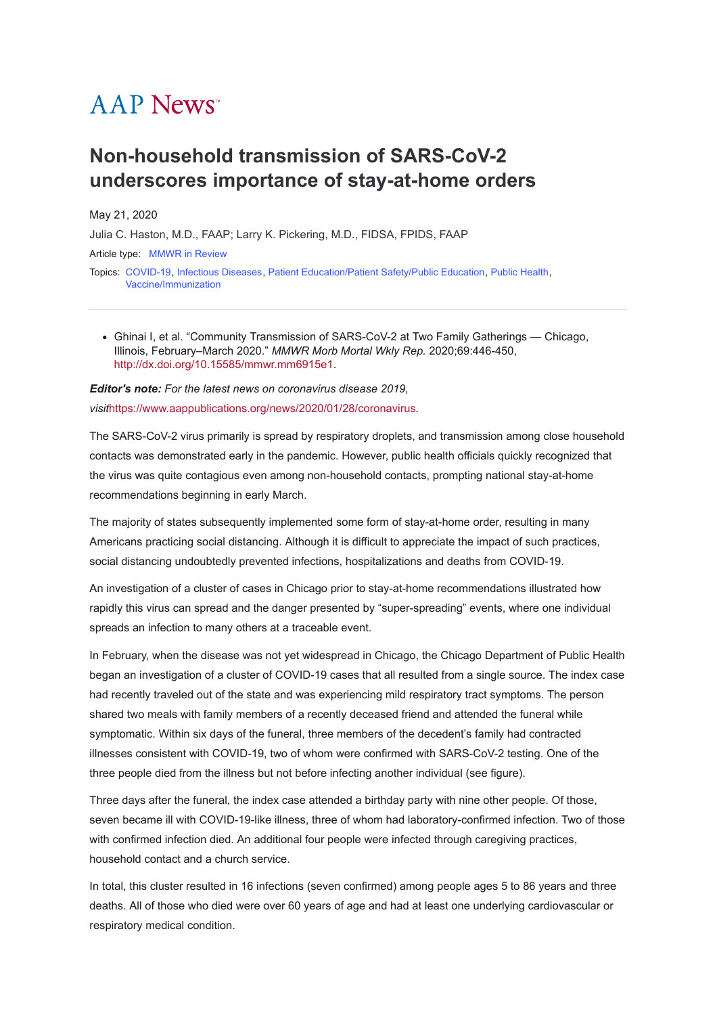## **AAP News**<sup>\*</sup>

## **Non-household transmission of SARS-CoV-2 underscores importance of stay-at-home orders**

May 21, 2020

[Julia C. Haston, M.D., FAAP; Larry K. Pickering, M.D., FIDSA, FPIDS, FAAP](javascript:;)

Article type: [MMWR in Review](https://publications.aap.org/aapnews/search-results?f_ArticleTypeDisplayName=MMWR+in+Review&fl_SiteID=1000011)

Topics: [COVID-19](https://publications.aap.org/aapnews/search-results?f_FacetCategoryIDs_1=2014&fl_SiteID=1000011), [Infectious Diseases](https://publications.aap.org/aapnews/search-results?f_FacetCategoryIDs_1=159&fl_SiteID=1000011), [Patient Education/Patient Safety/Public Education](https://publications.aap.org/aapnews/search-results?f_FacetCategoryIDs_1=198&fl_SiteID=1000011), [Public Health](https://publications.aap.org/aapnews/search-results?f_FacetCategoryIDs_1=213&fl_SiteID=1000011), [Vaccine/Immunization](https://publications.aap.org/aapnews/search-results?f_FacetCategoryIDs_1=309&fl_SiteID=1000011)

Ghinai I, et al. "Community Transmission of SARS-CoV-2 at Two Family Gatherings — Chicago, Illinois, February–March 2020." *MMWR Morb Mortal Wkly Rep.* 2020;69:446-450, [http://dx.doi.org/10.15585/mmwr.mm6915e1.](http://dx.doi.org/10.15585/mmwr.mm6915e1)

*Editor's note: For the latest news on coronavirus disease 2019, visit*<https://www.aappublications.org/news/2020/01/28/coronavirus>*.*

The SARS-CoV-2 virus primarily is spread by respiratory droplets, and transmission among close household contacts was demonstrated early in the pandemic. However, public health officials quickly recognized that the virus was quite contagious even among non-household contacts, prompting national stay-at-home recommendations beginning in early March.

The majority of states subsequently implemented some form of stay-at-home order, resulting in many Americans practicing social distancing. Although it is difficult to appreciate the impact of such practices, social distancing undoubtedly prevented infections, hospitalizations and deaths from COVID-19.

An investigation of a cluster of cases in Chicago prior to stay-at-home recommendations illustrated how rapidly this virus can spread and the danger presented by "super-spreading" events, where one individual spreads an infection to many others at a traceable event.

In February, when the disease was not yet widespread in Chicago, the Chicago Department of Public Health began an investigation of a cluster of COVID-19 cases that all resulted from a single source. The index case had recently traveled out of the state and was experiencing mild respiratory tract symptoms. The person shared two meals with family members of a recently deceased friend and attended the funeral while symptomatic. Within six days of the funeral, three members of the decedent's family had contracted illnesses consistent with COVID-19, two of whom were confirmed with SARS-CoV-2 testing. One of the three people died from the illness but not before infecting another individual (see figure).

Three days after the funeral, the index case attended a birthday party with nine other people. Of those, seven became ill with COVID-19-like illness, three of whom had laboratory-confirmed infection. Two of those with confirmed infection died. An additional four people were infected through caregiving practices, household contact and a church service.

In total, this cluster resulted in 16 infections (seven confirmed) among people ages 5 to 86 years and three deaths. All of those who died were over 60 years of age and had at least one underlying cardiovascular or respiratory medical condition.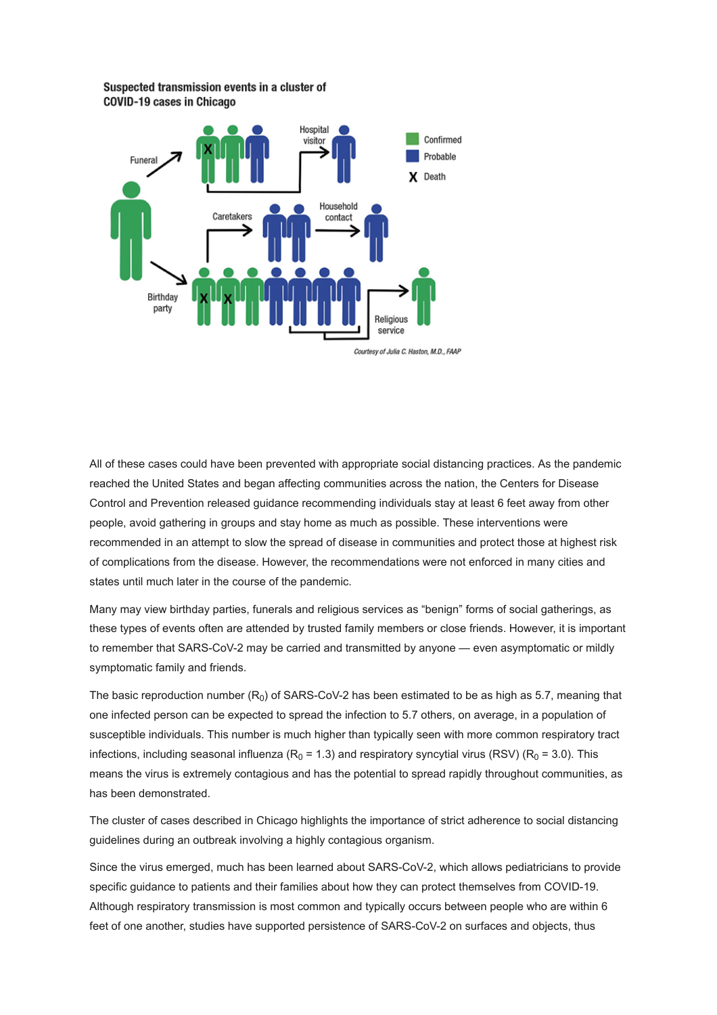Suspected transmission events in a cluster of **COVID-19 cases in Chicago** 



All of these cases could have been prevented with appropriate social distancing practices. As the pandemic reached the United States and began affecting communities across the nation, the Centers for Disease Control and Prevention released guidance recommending individuals stay at least 6 feet away from other people, avoid gathering in groups and stay home as much as possible. These interventions were recommended in an attempt to slow the spread of disease in communities and protect those at highest risk of complications from the disease. However, the recommendations were not enforced in many cities and states until much later in the course of the pandemic.

Many may view birthday parties, funerals and religious services as "benign" forms of social gatherings, as these types of events often are attended by trusted family members or close friends. However, it is important to remember that SARS-CoV-2 may be carried and transmitted by anyone — even asymptomatic or mildly symptomatic family and friends.

The basic reproduction number (R<sub>0</sub>) of SARS-CoV-2 has been estimated to be as high as 5.7, meaning that one infected person can be expected to spread the infection to 5.7 others, on average, in a population of susceptible individuals. This number is much higher than typically seen with more common respiratory tract infections, including seasonal influenza (R $_{\rm 0}$  = 1.3) and respiratory syncytial virus (RSV) (R $_{\rm 0}$  = 3.0). This means the virus is extremely contagious and has the potential to spread rapidly throughout communities, as has been demonstrated.

The cluster of cases described in Chicago highlights the importance of strict adherence to social distancing guidelines during an outbreak involving a highly contagious organism.

Since the virus emerged, much has been learned about SARS-CoV-2, which allows pediatricians to provide specific guidance to patients and their families about how they can protect themselves from COVID-19. Although respiratory transmission is most common and typically occurs between people who are within 6 feet of one another, studies have supported persistence of SARS-CoV-2 on surfaces and objects, thus